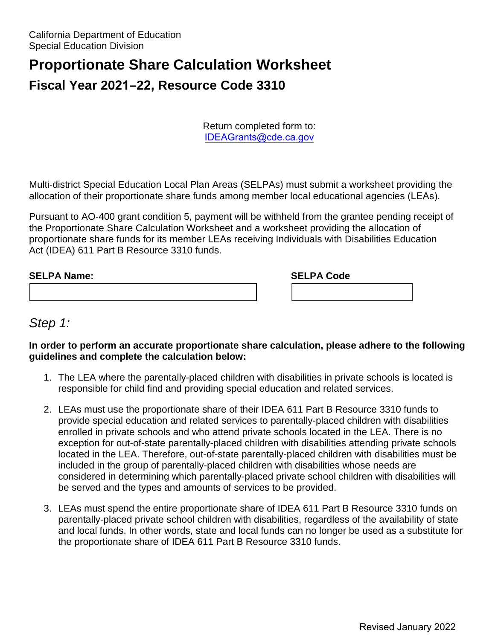# **Proportionate Share Calculation Worksheet Fiscal Year 2021–22, Resource Code 3310**

Return completed form to: IDEAGrants@cde.ca.gov

 allocation of their proportionate share funds among member local educational agencies (LEAs). Multi-district Special Education Local Plan Areas (SELPAs) must submit a worksheet providing the

 Pursuant to AO-400 grant condition 5, payment will be withheld from the grantee pending receipt of Act (IDEA) 611 Part B Resource 3310 funds. the Proportionate Share Calculation Worksheet and a worksheet providing the allocation of proportionate share funds for its member LEAs receiving Individuals with Disabilities Education

| <b>SELPA Name:</b> | <b>SELPA Code</b> |  |
|--------------------|-------------------|--|
|                    |                   |  |

## *Step 1:*

#### **In order to perform an accurate proportionate share calculation, please adhere to the following guidelines and complete the calculation below:**

- 1. The LEA where the parentally-placed children with disabilities in private schools is located is responsible for child find and providing special education and related services.
- enrolled in private schools and who attend private schools located in the LEA. There is no 2. LEAs must use the proportionate share of their IDEA 611 Part B Resource 3310 funds to provide special education and related services to parentally-placed children with disabilities exception for out-of-state parentally-placed children with disabilities attending private schools located in the LEA. Therefore, out-of-state parentally-placed children with disabilities must be included in the group of parentally-placed children with disabilities whose needs are considered in determining which parentally-placed private school children with disabilities will be served and the types and amounts of services to be provided.
- 3. LEAs must spend the entire proportionate share of IDEA 611 Part B Resource 3310 funds on and local funds. In other words, state and local funds can no longer be used as a substitute for parentally-placed private school children with disabilities, regardless of the availability of state the proportionate share of IDEA 611 Part B Resource 3310 funds.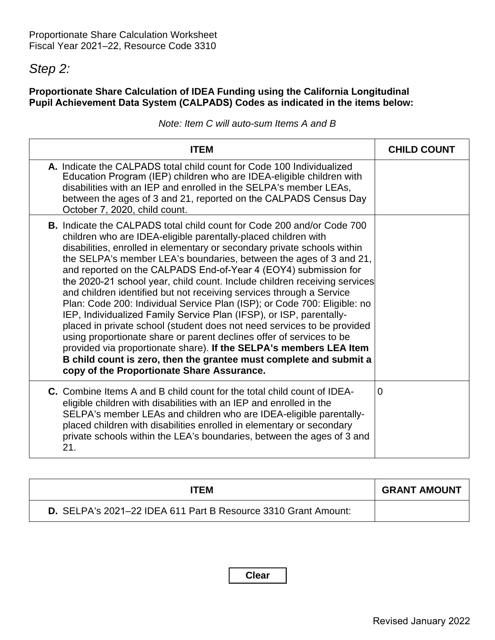# *Step 2:*

### **Proportionate Share Calculation of IDEA Funding using the California Longitudinal Pupil Achievement Data System (CALPADS) Codes as indicated in the items below:**

|  |  |  | Note: Item C will auto-sum Items A and B |  |  |
|--|--|--|------------------------------------------|--|--|
|--|--|--|------------------------------------------|--|--|

| <b>ITEM</b>                                                                                                                                                                                                                                                                                                                                                                                                                                                                                                                                                                                                                                                                                                                                                                                                                                                                                                                                                                                                               | <b>CHILD COUNT</b> |
|---------------------------------------------------------------------------------------------------------------------------------------------------------------------------------------------------------------------------------------------------------------------------------------------------------------------------------------------------------------------------------------------------------------------------------------------------------------------------------------------------------------------------------------------------------------------------------------------------------------------------------------------------------------------------------------------------------------------------------------------------------------------------------------------------------------------------------------------------------------------------------------------------------------------------------------------------------------------------------------------------------------------------|--------------------|
| A. Indicate the CALPADS total child count for Code 100 Individualized<br>Education Program (IEP) children who are IDEA-eligible children with<br>disabilities with an IEP and enrolled in the SELPA's member LEAs,<br>between the ages of 3 and 21, reported on the CALPADS Census Day<br>October 7, 2020, child count.                                                                                                                                                                                                                                                                                                                                                                                                                                                                                                                                                                                                                                                                                                   |                    |
| <b>B.</b> Indicate the CALPADS total child count for Code 200 and/or Code 700<br>children who are IDEA-eligible parentally-placed children with<br>disabilities, enrolled in elementary or secondary private schools within<br>the SELPA's member LEA's boundaries, between the ages of 3 and 21,<br>and reported on the CALPADS End-of-Year 4 (EOY4) submission for<br>the 2020-21 school year, child count. Include children receiving services<br>and children identified but not receiving services through a Service<br>Plan: Code 200: Individual Service Plan (ISP); or Code 700: Eligible: no<br>IEP, Individualized Family Service Plan (IFSP), or ISP, parentally-<br>placed in private school (student does not need services to be provided<br>using proportionate share or parent declines offer of services to be<br>provided via proportionate share). If the SELPA's members LEA Item<br>B child count is zero, then the grantee must complete and submit a<br>copy of the Proportionate Share Assurance. |                    |
| <b>C.</b> Combine Items A and B child count for the total child count of IDEA-<br>eligible children with disabilities with an IEP and enrolled in the<br>SELPA's member LEAs and children who are IDEA-eligible parentally-<br>placed children with disabilities enrolled in elementary or secondary<br>private schools within the LEA's boundaries, between the ages of 3 and<br>21.                                                                                                                                                                                                                                                                                                                                                                                                                                                                                                                                                                                                                                     | $\Omega$           |

| ITEM                                                           | <b>GRANT AMOUNT</b> |
|----------------------------------------------------------------|---------------------|
| D. SELPA's 2021-22 IDEA 611 Part B Resource 3310 Grant Amount: |                     |

**Clear**